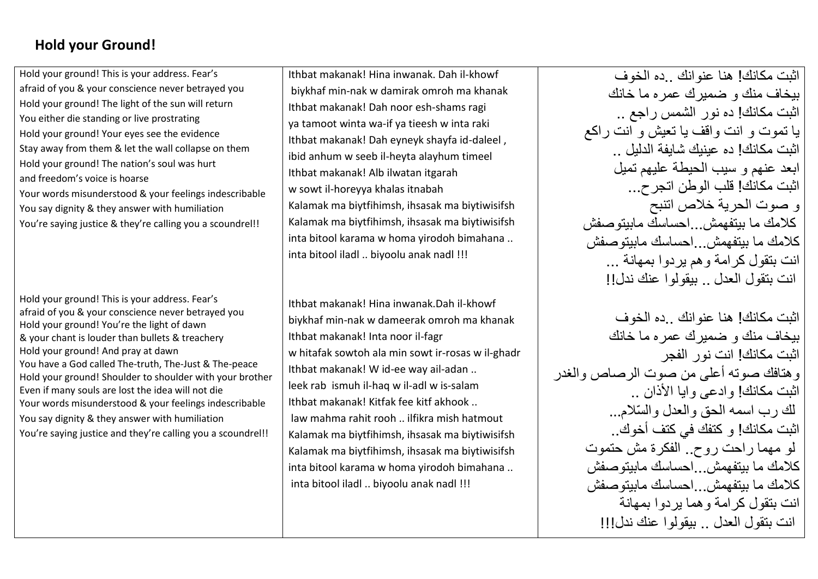## **Hold your Ground!**

Hold your ground! This is your address. Fear's afraid of you & your conscience never betrayed you Hold your ground! The light of the sun will return You either die standing or live prostrating Hold your ground! Your eyes see the evidence Stay away from them & let the wall collapse on them Hold your ground! The nation's soul was hurt and freedom's voice is hoarse Your words misunderstood & your feelings indescribable You say dignity & they answer with humiliation You're saying justice & they're calling you a scoundrel!!

Hold your ground! This is your address. Fear's afraid of you & your conscience never betrayed you Hold your ground! You're the light of dawn & your chant is louder than bullets & treachery Hold your ground! And pray at dawn You have a God called The-truth, The-Just & The-peace Hold your ground! Shoulder to shoulder with your brother Even if many souls are lost the idea will not die Your words misunderstood & your feelings indescribable You say dignity & they answer with humiliation You're saying justice and they're calling you a scoundrel!!

Ithbat makanak! Hina inwanak. Dah il-khowf biykhaf min-nak w damirak omroh ma khanak Ithbat makanak! Dah noor esh-shams ragi ya tamoot winta wa-if ya tieesh w inta raki Ithbat makanak! Dah eyneyk shayfa id-daleel , ibid anhum w seeb il-heyta alayhum timeel Ithbat makanak! Alb ilwatan itgarah w sowt il-horeyya khalas itnabah Kalamak ma biytfihimsh, ihsasak ma biytiwisifsh Kalamak ma biytfihimsh, ihsasak ma biytiwisifsh inta bitool karama w homa yirodoh bimahana .. inta bitool iladl .. biyoolu anak nadl !!!

Ithbat makanak! Hina inwanak.Dah il-khowf biykhaf min-nak w dameerak omroh ma khanak Ithbat makanak! Inta noor il-fagr w hitafak sowtoh ala min sowt ir-rosas w il-ghadr Ithbat makanak! W id-ee way ail-adan .. leek rab ismuh il-haq w il-adl w is-salam Ithbat makanak! Kitfak fee kitf akhook .. law mahma rahit rooh .. ilfikra mish hatmout Kalamak ma biytfihimsh, ihsasak ma biytiwisifsh Kalamak ma biytfihimsh, ihsasak ma biytiwisifsh inta bitool karama w homa yirodoh bimahana .. inta bitool iladl .. biyoolu anak nadl !!!

اثبت مكانك! هنا عنوانك ..ده الخوف بيخاف منك و ضميرك عمره ما خانك اثبت مكانك! ده نور الشمس راجع .. يا تموت و انت واقف يا تعيش و انت راكع اثبت مكانك! ده عينيك شايفة الدليل .. ابعد عنهم و سيب الحيطة عليهم تميل اثبت مكانك! قلب الوطن اتجرح... و صوت الحرية خالص اتنبح كالمك ما بيتفهمش...احساسك مابيتوصفش كالمك ما بيتفهمش...احساسك مابيتوصفش انت بتقول كرامة وهم يردوا بمهانة ... انت بتقول العدل .. بيقولوا عنك ندل!!

اثبت مكانك! هنا عنوانك ..ده الخوف بيخاف منك و ضميرك عمره ما خانك اثبت مكانك! انت نور الفجر وهتافك صوته أعلى من صوت الرصاص والغدر اثبت مكانك! و ادعى و ايا الأذان .. لك رب اسمه الحق و العدل و السّلام... اثبت مكانك! و كتفك في كتف أخوك.. لو مهما راحت روح.. الفكرة مش حتموت كالمك ما بيتفهمش...احساسك مابيتوصفش كلامك ما بيتفهمش .. احساسك مابيتو صفش انت بتقول كرامة وهما يردوا بمهانة انت بتقول العدل .. بيقولوا عنك ندل!!!